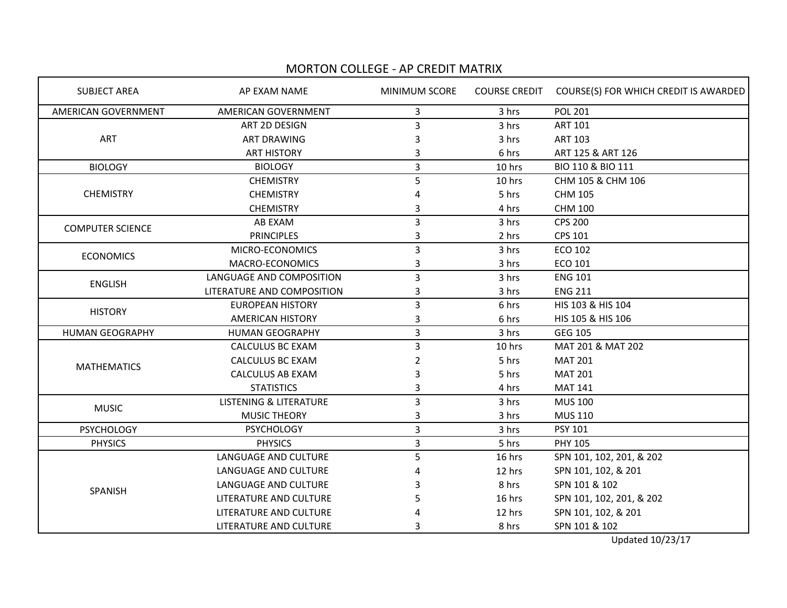## MORTON COLLEGE - AP CREDIT MATRIX

| <b>SUBJECT AREA</b>        | AP EXAM NAME                      | <b>MINIMUM SCORE</b> | <b>COURSE CREDIT</b> | COURSE(S) FOR WHICH CREDIT IS AWARDED |  |
|----------------------------|-----------------------------------|----------------------|----------------------|---------------------------------------|--|
| <b>AMERICAN GOVERNMENT</b> | AMERICAN GOVERNMENT               | 3                    | 3 hrs                | <b>POL 201</b>                        |  |
| ART                        | ART 2D DESIGN                     | 3                    | 3 hrs                | <b>ART 101</b>                        |  |
|                            | <b>ART DRAWING</b>                | 3                    | 3 hrs                | <b>ART 103</b>                        |  |
|                            | <b>ART HISTORY</b>                | 3                    | 6 hrs                | ART 125 & ART 126                     |  |
| <b>BIOLOGY</b>             | <b>BIOLOGY</b>                    | 3                    | 10 hrs               | BIO 110 & BIO 111                     |  |
| <b>CHEMISTRY</b>           | <b>CHEMISTRY</b>                  | 5                    | 10 hrs               | CHM 105 & CHM 106                     |  |
|                            | <b>CHEMISTRY</b>                  |                      | 5 hrs                | <b>CHM 105</b>                        |  |
|                            | <b>CHEMISTRY</b>                  | 3                    | 4 hrs                | <b>CHM 100</b>                        |  |
| <b>COMPUTER SCIENCE</b>    | AB EXAM                           | 3                    | 3 hrs                | <b>CPS 200</b>                        |  |
|                            | <b>PRINCIPLES</b>                 | 3                    | 2 hrs                | <b>CPS 101</b>                        |  |
| <b>ECONOMICS</b>           | MICRO-ECONOMICS                   | 3                    | 3 hrs                | <b>ECO 102</b>                        |  |
|                            | MACRO-ECONOMICS                   | 3                    | 3 hrs                | ECO 101                               |  |
| <b>ENGLISH</b>             | LANGUAGE AND COMPOSITION          | 3                    | 3 hrs                | <b>ENG 101</b>                        |  |
|                            | LITERATURE AND COMPOSITION        | 3                    | 3 hrs                | <b>ENG 211</b>                        |  |
| <b>HISTORY</b>             | <b>EUROPEAN HISTORY</b>           | 3                    | 6 hrs                | HIS 103 & HIS 104                     |  |
|                            | <b>AMERICAN HISTORY</b>           | 3                    | 6 hrs                | HIS 105 & HIS 106                     |  |
| <b>HUMAN GEOGRAPHY</b>     | <b>HUMAN GEOGRAPHY</b>            | $\overline{3}$       | 3 hrs                | <b>GEG 105</b>                        |  |
| <b>MATHEMATICS</b>         | <b>CALCULUS BC EXAM</b>           | 3                    | 10 hrs               | MAT 201 & MAT 202                     |  |
|                            | <b>CALCULUS BC EXAM</b>           | 2                    | 5 hrs                | <b>MAT 201</b>                        |  |
|                            | <b>CALCULUS AB EXAM</b>           |                      | 5 hrs                | <b>MAT 201</b>                        |  |
|                            | <b>STATISTICS</b>                 | 3                    | 4 hrs                | <b>MAT 141</b>                        |  |
| <b>MUSIC</b>               | <b>LISTENING &amp; LITERATURE</b> | 3                    | 3 hrs                | <b>MUS 100</b>                        |  |
|                            | MUSIC THEORY                      | 3                    | 3 hrs                | <b>MUS 110</b>                        |  |
| <b>PSYCHOLOGY</b>          | <b>PSYCHOLOGY</b>                 | 3                    | 3 hrs                | <b>PSY 101</b>                        |  |
| <b>PHYSICS</b>             | <b>PHYSICS</b>                    | 3                    | 5 hrs                | <b>PHY 105</b>                        |  |
| SPANISH                    | LANGUAGE AND CULTURE              | 5                    | 16 hrs               | SPN 101, 102, 201, & 202              |  |
|                            | LANGUAGE AND CULTURE              | Δ                    | 12 hrs               | SPN 101, 102, & 201                   |  |
|                            | LANGUAGE AND CULTURE              |                      | 8 hrs                | SPN 101 & 102                         |  |
|                            | LITERATURE AND CULTURE            |                      | 16 hrs               | SPN 101, 102, 201, & 202              |  |
|                            | LITERATURE AND CULTURE            |                      | 12 hrs               | SPN 101, 102, & 201                   |  |
|                            | LITERATURE AND CULTURE            | 3                    | 8 hrs                | SPN 101 & 102                         |  |

Updated 10/23/17